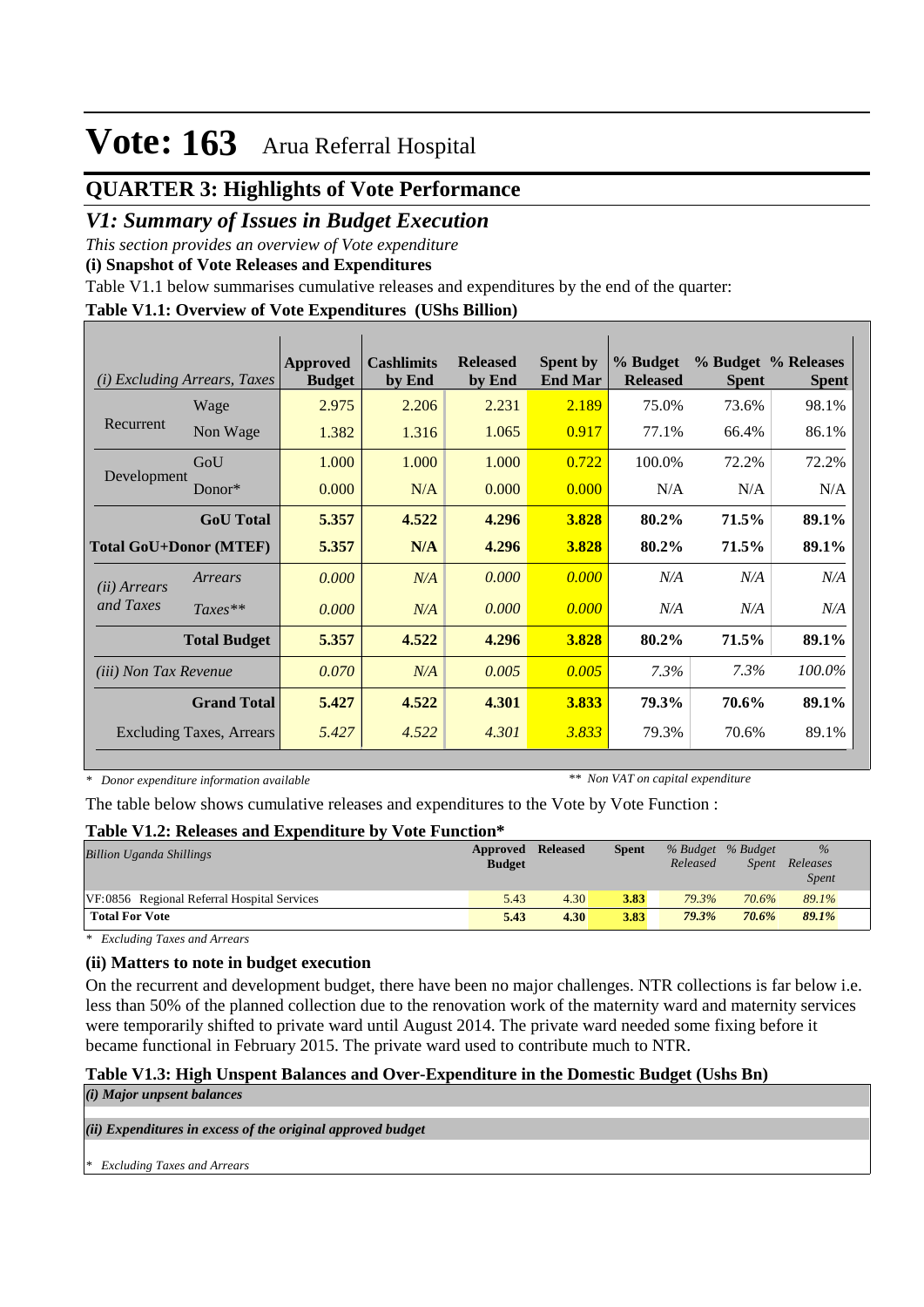## **QUARTER 3: Highlights of Vote Performance**

### *V1: Summary of Issues in Budget Execution*

*This section provides an overview of Vote expenditure* 

**(i) Snapshot of Vote Releases and Expenditures**

Table V1.1 below summarises cumulative releases and expenditures by the end of the quarter:

#### **Table V1.1: Overview of Vote Expenditures (UShs Billion)**

| (i)                          | <i>Excluding Arrears, Taxes</i> | <b>Approved</b><br><b>Budget</b> | <b>Cashlimits</b><br>by End | <b>Released</b><br>by End | <b>Spent by</b><br><b>End Mar</b> | % Budget<br><b>Released</b> | <b>Spent</b> | % Budget % Releases<br><b>Spent</b> |
|------------------------------|---------------------------------|----------------------------------|-----------------------------|---------------------------|-----------------------------------|-----------------------------|--------------|-------------------------------------|
|                              | Wage                            | 2.975                            | 2.206                       | 2.231                     | 2.189                             | 75.0%                       | 73.6%        | 98.1%                               |
| Recurrent                    | Non Wage                        | 1.382                            | 1.316                       | 1.065                     | 0.917                             | 77.1%                       | 66.4%        | 86.1%                               |
|                              | GoU                             | 1.000                            | 1.000                       | 1.000                     | 0.722                             | 100.0%                      | 72.2%        | 72.2%                               |
| Development                  | $Donor*$                        | 0.000                            | N/A                         | 0.000                     | 0.000                             | N/A                         | N/A          | N/A                                 |
|                              | <b>GoU</b> Total                | 5.357                            | 4.522                       | 4.296                     | 3.828                             | 80.2%                       | 71.5%        | 89.1%                               |
|                              | <b>Total GoU+Donor (MTEF)</b>   | 5.357                            | N/A                         | 4.296                     | 3.828                             | 80.2%                       | 71.5%        | 89.1%                               |
| ( <i>ii</i> ) Arrears        | Arrears                         | 0.000                            | N/A                         | 0.000                     | 0.000                             | N/A                         | N/A          | N/A                                 |
| and Taxes                    | $Taxes**$                       | 0.000                            | N/A                         | 0.000                     | 0.000                             | N/A                         | N/A          | N/A                                 |
|                              | <b>Total Budget</b>             | 5.357                            | 4.522                       | 4.296                     | 3.828                             | 80.2%                       | 71.5%        | 89.1%                               |
| <i>(iii)</i> Non Tax Revenue |                                 | 0.070                            | N/A                         | 0.005                     | 0.005                             | 7.3%                        | $7.3\%$      | 100.0%                              |
|                              | <b>Grand Total</b>              | 5.427                            | 4.522                       | 4.301                     | 3.833                             | 79.3%                       | 70.6%        | 89.1%                               |
|                              | <b>Excluding Taxes, Arrears</b> | 5.427                            | 4.522                       | 4.301                     | 3.833                             | 79.3%                       | 70.6%        | 89.1%                               |

*\* Donor expenditure information available*

*\*\* Non VAT on capital expenditure*

The table below shows cumulative releases and expenditures to the Vote by Vote Function :

#### **Table V1.2: Releases and Expenditure by Vote Function\***

| <b>Billion Uganda Shillings</b>             | Approved<br><b>Budget</b> | <b>Released</b> | <b>Spent</b> | % Budget % Budget<br>Released | <i>Spent</i> | $\%$<br>Releases<br><i>Spent</i> |  |
|---------------------------------------------|---------------------------|-----------------|--------------|-------------------------------|--------------|----------------------------------|--|
| VF:0856 Regional Referral Hospital Services | 5.43                      | 4.30            | 3.83         | 79.3%                         | 70.6%        | 89.1%                            |  |
| <b>Total For Vote</b>                       | 5.43                      | 4.30            | 3.83         | 79.3%                         | 70.6%        | 89.1%                            |  |

*\* Excluding Taxes and Arrears*

#### **(ii) Matters to note in budget execution**

On the recurrent and development budget, there have been no major challenges. NTR collections is far below i.e. less than 50% of the planned collection due to the renovation work of the maternity ward and maternity services were temporarily shifted to private ward until August 2014. The private ward needed some fixing before it became functional in February 2015. The private ward used to contribute much to NTR.

#### **Table V1.3: High Unspent Balances and Over-Expenditure in the Domestic Budget (Ushs Bn)**

*(i) Major unpsent balances*

*(ii) Expenditures in excess of the original approved budget*

*\* Excluding Taxes and Arrears*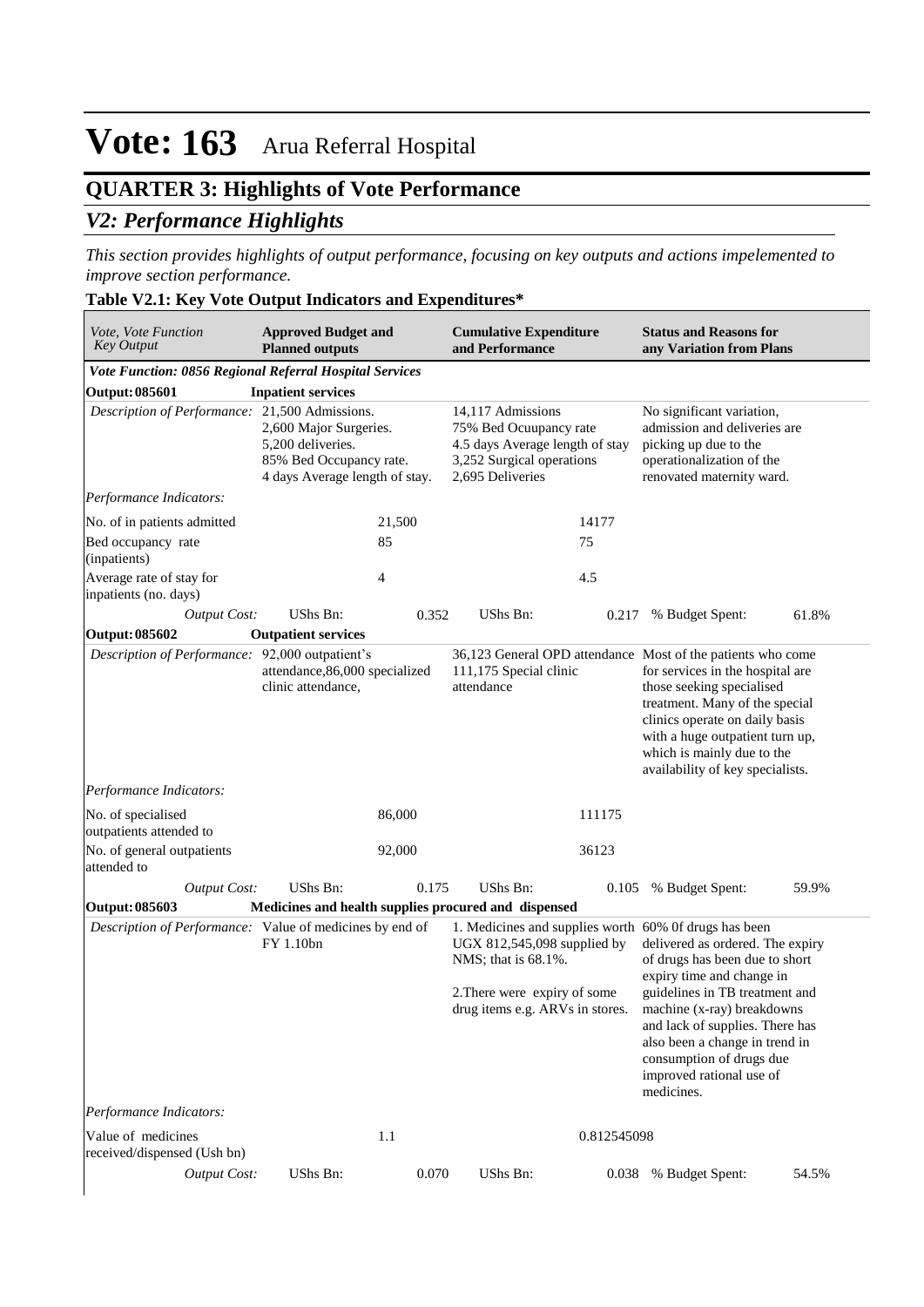## **QUARTER 3: Highlights of Vote Performance**

## *V2: Performance Highlights*

*This section provides highlights of output performance, focusing on key outputs and actions impelemented to improve section performance.*

#### **Table V2.1: Key Vote Output Indicators and Expenditures\***

| Vote, Vote Function<br><b>Key Output</b>                       | <b>Approved Budget and</b><br><b>Planned outputs</b>                                                     |        | <b>Cumulative Expenditure</b><br>and Performance                                                                                |             | <b>Status and Reasons for</b><br>any Variation from Plans                                                                                                                                                                                                                                                                                                           |       |
|----------------------------------------------------------------|----------------------------------------------------------------------------------------------------------|--------|---------------------------------------------------------------------------------------------------------------------------------|-------------|---------------------------------------------------------------------------------------------------------------------------------------------------------------------------------------------------------------------------------------------------------------------------------------------------------------------------------------------------------------------|-------|
| <b>Vote Function: 0856 Regional Referral Hospital Services</b> |                                                                                                          |        |                                                                                                                                 |             |                                                                                                                                                                                                                                                                                                                                                                     |       |
| Output: 085601                                                 | <b>Inpatient services</b>                                                                                |        |                                                                                                                                 |             |                                                                                                                                                                                                                                                                                                                                                                     |       |
| Description of Performance: 21,500 Admissions.                 | 2,600 Major Surgeries.<br>5,200 deliveries.<br>85% Bed Occupancy rate.<br>4 days Average length of stay. |        | 14,117 Admissions<br>75% Bed Ocuupancy rate<br>4.5 days Average length of stay<br>3,252 Surgical operations<br>2,695 Deliveries |             | No significant variation,<br>admission and deliveries are<br>picking up due to the<br>operationalization of the<br>renovated maternity ward.                                                                                                                                                                                                                        |       |
| Performance Indicators:                                        |                                                                                                          |        |                                                                                                                                 |             |                                                                                                                                                                                                                                                                                                                                                                     |       |
| No. of in patients admitted                                    |                                                                                                          | 21,500 |                                                                                                                                 | 14177       |                                                                                                                                                                                                                                                                                                                                                                     |       |
| Bed occupancy rate<br>(inpatients)                             |                                                                                                          | 85     |                                                                                                                                 | 75          |                                                                                                                                                                                                                                                                                                                                                                     |       |
| Average rate of stay for<br>inpatients (no. days)              |                                                                                                          | 4      |                                                                                                                                 | 4.5         |                                                                                                                                                                                                                                                                                                                                                                     |       |
| <b>Output Cost:</b>                                            | UShs Bn:                                                                                                 | 0.352  | UShs Bn:                                                                                                                        | 0.217       | % Budget Spent:                                                                                                                                                                                                                                                                                                                                                     | 61.8% |
| Output: 085602                                                 | <b>Outpatient services</b>                                                                               |        |                                                                                                                                 |             |                                                                                                                                                                                                                                                                                                                                                                     |       |
| Description of Performance: 92,000 outpatient's                | attendance, 86,000 specialized<br>clinic attendance,                                                     |        | 111,175 Special clinic<br>attendance                                                                                            |             | 36,123 General OPD attendance Most of the patients who come<br>for services in the hospital are<br>those seeking specialised<br>treatment. Many of the special<br>clinics operate on daily basis<br>with a huge outpatient turn up,<br>which is mainly due to the<br>availability of key specialists.                                                               |       |
| Performance Indicators:                                        |                                                                                                          |        |                                                                                                                                 |             |                                                                                                                                                                                                                                                                                                                                                                     |       |
| No. of specialised<br>outpatients attended to                  |                                                                                                          | 86,000 |                                                                                                                                 | 111175      |                                                                                                                                                                                                                                                                                                                                                                     |       |
| No. of general outpatients<br>attended to                      |                                                                                                          | 92,000 |                                                                                                                                 | 36123       |                                                                                                                                                                                                                                                                                                                                                                     |       |
| <b>Output Cost:</b>                                            | UShs Bn:                                                                                                 | 0.175  | UShs Bn:                                                                                                                        | 0.105       | % Budget Spent:                                                                                                                                                                                                                                                                                                                                                     | 59.9% |
| Output: 085603                                                 | Medicines and health supplies procured and dispensed                                                     |        |                                                                                                                                 |             |                                                                                                                                                                                                                                                                                                                                                                     |       |
| Description of Performance: Value of medicines by end of       | FY 1.10bn                                                                                                |        | UGX 812,545,098 supplied by<br>NMS; that is 68.1%.<br>2. There were expiry of some<br>drug items e.g. ARVs in stores.           |             | 1. Medicines and supplies worth 60% Of drugs has been<br>delivered as ordered. The expiry<br>of drugs has been due to short<br>expiry time and change in<br>guidelines in TB treatment and<br>machine (x-ray) breakdowns<br>and lack of supplies. There has<br>also been a change in trend in<br>consumption of drugs due<br>improved rational use of<br>medicines. |       |
| Performance Indicators:                                        |                                                                                                          |        |                                                                                                                                 |             |                                                                                                                                                                                                                                                                                                                                                                     |       |
| Value of medicines<br>received/dispensed (Ush bn)              |                                                                                                          | 1.1    |                                                                                                                                 | 0.812545098 |                                                                                                                                                                                                                                                                                                                                                                     |       |
| <b>Output Cost:</b>                                            | UShs Bn:                                                                                                 | 0.070  | UShs Bn:                                                                                                                        | 0.038       | % Budget Spent:                                                                                                                                                                                                                                                                                                                                                     | 54.5% |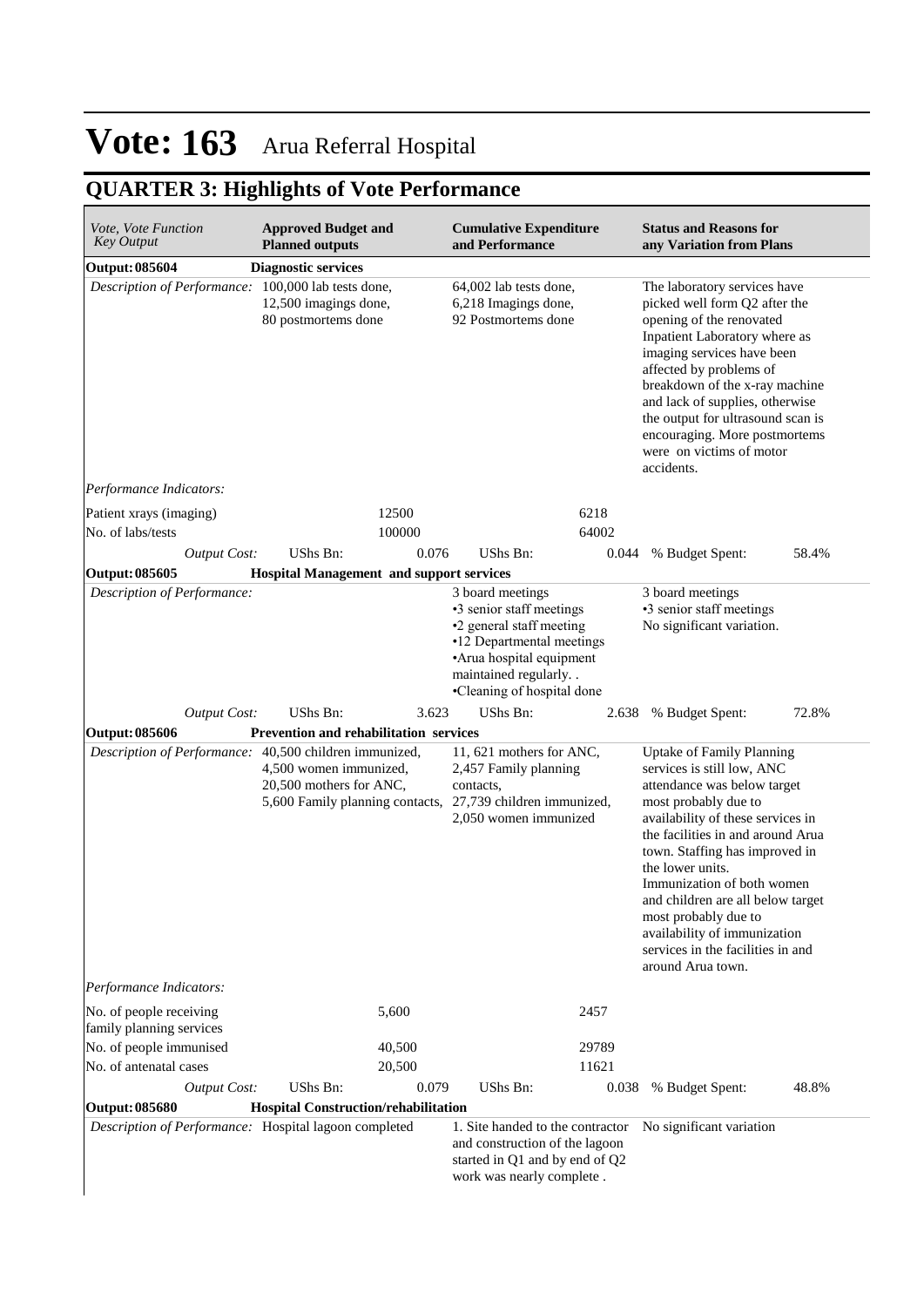## **QUARTER 3: Highlights of Vote Performance**

| <i>Vote, Vote Function</i><br><b>Key Output</b>                                | <b>Approved Budget and</b><br><b>Planned outputs</b>                                 |                 | <b>Cumulative Expenditure</b><br>and Performance                                                                                                                                        |               | <b>Status and Reasons for</b><br>any Variation from Plans                                                                                                                                                                                                                                                                                                                                                                                  |       |
|--------------------------------------------------------------------------------|--------------------------------------------------------------------------------------|-----------------|-----------------------------------------------------------------------------------------------------------------------------------------------------------------------------------------|---------------|--------------------------------------------------------------------------------------------------------------------------------------------------------------------------------------------------------------------------------------------------------------------------------------------------------------------------------------------------------------------------------------------------------------------------------------------|-------|
| <b>Output: 085604</b>                                                          | <b>Diagnostic services</b>                                                           |                 |                                                                                                                                                                                         |               |                                                                                                                                                                                                                                                                                                                                                                                                                                            |       |
| Description of Performance: 100,000 lab tests done,                            | 12,500 imagings done,<br>80 postmortems done                                         |                 | 64,002 lab tests done,<br>6,218 Imagings done,<br>92 Postmortems done                                                                                                                   |               | The laboratory services have<br>picked well form Q2 after the<br>opening of the renovated<br>Inpatient Laboratory where as<br>imaging services have been<br>affected by problems of<br>breakdown of the x-ray machine<br>and lack of supplies, otherwise<br>the output for ultrasound scan is<br>encouraging. More postmortems<br>were on victims of motor<br>accidents.                                                                   |       |
| Performance Indicators:                                                        |                                                                                      |                 |                                                                                                                                                                                         |               |                                                                                                                                                                                                                                                                                                                                                                                                                                            |       |
| Patient xrays (imaging)<br>No. of labs/tests                                   |                                                                                      | 12500<br>100000 |                                                                                                                                                                                         | 6218<br>64002 |                                                                                                                                                                                                                                                                                                                                                                                                                                            |       |
| <b>Output Cost:</b>                                                            | UShs Bn:                                                                             | 0.076           | UShs Bn:                                                                                                                                                                                | 0.044         | % Budget Spent:                                                                                                                                                                                                                                                                                                                                                                                                                            | 58.4% |
| <b>Output: 085605</b>                                                          | <b>Hospital Management and support services</b>                                      |                 |                                                                                                                                                                                         |               |                                                                                                                                                                                                                                                                                                                                                                                                                                            |       |
| Description of Performance:                                                    |                                                                                      |                 | 3 board meetings<br>•3 senior staff meetings<br>•2 general staff meeting<br>•12 Departmental meetings<br>•Arua hospital equipment<br>maintained regularly<br>•Cleaning of hospital done |               | 3 board meetings<br>•3 senior staff meetings<br>No significant variation.                                                                                                                                                                                                                                                                                                                                                                  |       |
| <b>Output Cost:</b>                                                            | UShs Bn:                                                                             | 3.623           | UShs Bn:                                                                                                                                                                                | 2.638         | % Budget Spent:                                                                                                                                                                                                                                                                                                                                                                                                                            | 72.8% |
| <b>Output: 085606</b>                                                          | Prevention and rehabilitation services                                               |                 |                                                                                                                                                                                         |               |                                                                                                                                                                                                                                                                                                                                                                                                                                            |       |
| Description of Performance: 40,500 children immunized,                         | 4,500 women immunized,<br>20,500 mothers for ANC,<br>5,600 Family planning contacts, |                 | 11, 621 mothers for ANC,<br>2,457 Family planning<br>contacts,<br>27,739 children immunized,<br>2,050 women immunized                                                                   |               | <b>Uptake of Family Planning</b><br>services is still low, ANC<br>attendance was below target<br>most probably due to<br>availability of these services in<br>the facilities in and around Arua<br>town. Staffing has improved in<br>the lower units.<br>Immunization of both women<br>and children are all below target<br>most probably due to<br>availability of immunization<br>services in the facilities in and<br>around Arua town. |       |
| Performance Indicators:                                                        |                                                                                      |                 |                                                                                                                                                                                         |               |                                                                                                                                                                                                                                                                                                                                                                                                                                            |       |
| No. of people receiving<br>family planning services<br>No. of people immunised |                                                                                      | 5,600<br>40,500 |                                                                                                                                                                                         | 2457<br>29789 |                                                                                                                                                                                                                                                                                                                                                                                                                                            |       |
| No. of antenatal cases                                                         |                                                                                      | 20,500          |                                                                                                                                                                                         | 11621         |                                                                                                                                                                                                                                                                                                                                                                                                                                            |       |
| <b>Output Cost:</b>                                                            | UShs Bn:                                                                             | 0.079           | UShs Bn:                                                                                                                                                                                | 0.038         | % Budget Spent:                                                                                                                                                                                                                                                                                                                                                                                                                            | 48.8% |
| <b>Output: 085680</b>                                                          | Hospital Construction/rehabilitation                                                 |                 |                                                                                                                                                                                         |               |                                                                                                                                                                                                                                                                                                                                                                                                                                            |       |
| Description of Performance: Hospital lagoon completed                          |                                                                                      |                 | 1. Site handed to the contractor                                                                                                                                                        |               |                                                                                                                                                                                                                                                                                                                                                                                                                                            |       |
|                                                                                |                                                                                      |                 | and construction of the lagoon<br>started in Q1 and by end of Q2<br>work was nearly complete.                                                                                           |               | No significant variation                                                                                                                                                                                                                                                                                                                                                                                                                   |       |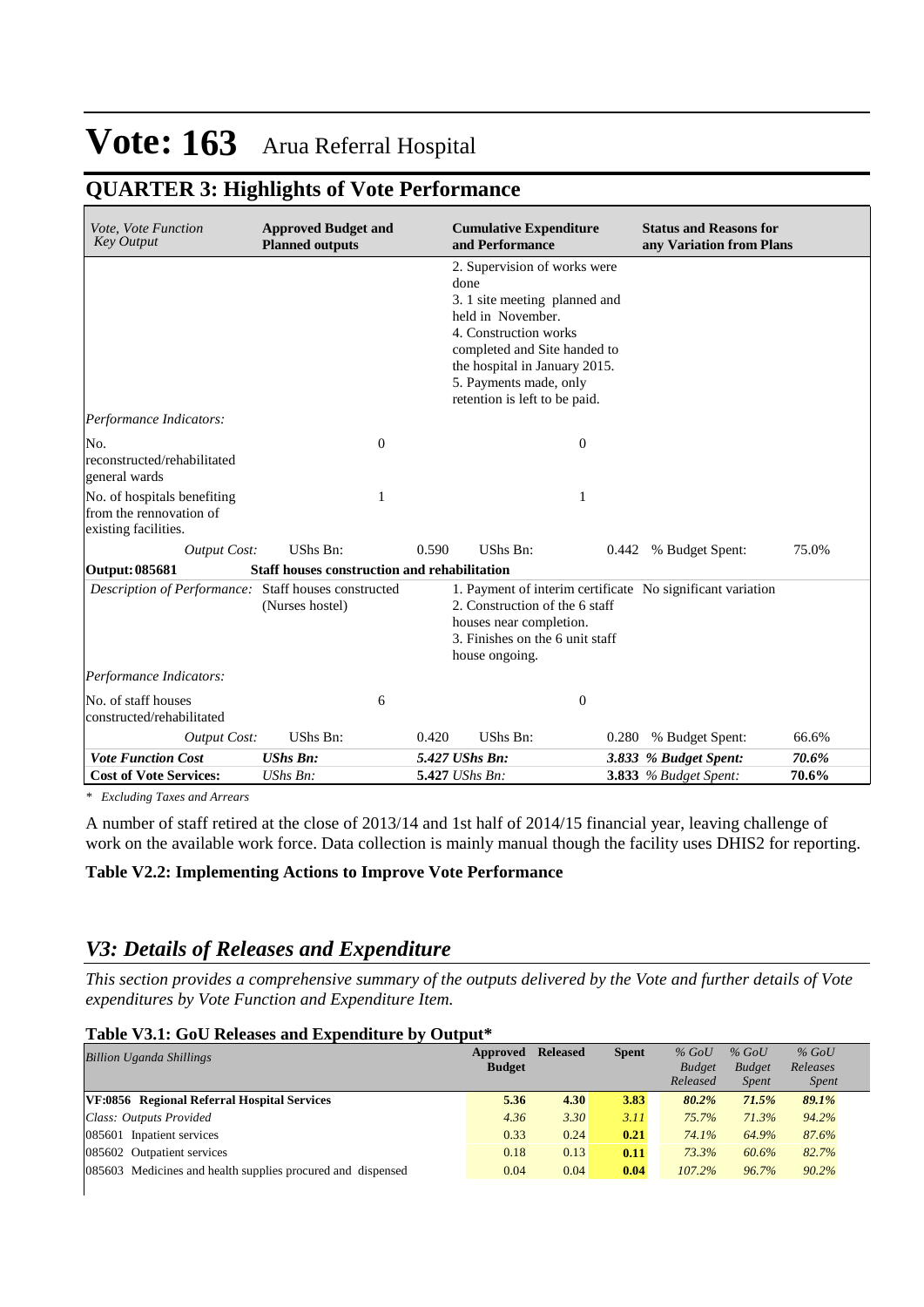## **QUARTER 3: Highlights of Vote Performance**

| Vote, Vote Function<br><b>Key Output</b>                                       | <b>Approved Budget and</b><br><b>Planned outputs</b> |       | <b>Cumulative Expenditure</b><br>and Performance                                                                                                                                                                                                |       | <b>Status and Reasons for</b><br>any Variation from Plans |       |
|--------------------------------------------------------------------------------|------------------------------------------------------|-------|-------------------------------------------------------------------------------------------------------------------------------------------------------------------------------------------------------------------------------------------------|-------|-----------------------------------------------------------|-------|
|                                                                                |                                                      |       | 2. Supervision of works were<br>done<br>3. 1 site meeting planned and<br>held in November.<br>4. Construction works<br>completed and Site handed to<br>the hospital in January 2015.<br>5. Payments made, only<br>retention is left to be paid. |       |                                                           |       |
| Performance Indicators:                                                        |                                                      |       |                                                                                                                                                                                                                                                 |       |                                                           |       |
| No.<br>reconstructed/rehabilitated<br>general wards                            | $\boldsymbol{0}$                                     |       | $\theta$                                                                                                                                                                                                                                        |       |                                                           |       |
| No. of hospitals benefiting<br>from the rennovation of<br>existing facilities. | 1                                                    |       | 1                                                                                                                                                                                                                                               |       |                                                           |       |
| <b>Output Cost:</b>                                                            | UShs Bn:                                             | 0.590 | UShs Bn:                                                                                                                                                                                                                                        |       | 0.442 % Budget Spent:                                     | 75.0% |
| Output: 085681                                                                 | Staff houses construction and rehabilitation         |       |                                                                                                                                                                                                                                                 |       |                                                           |       |
| Description of Performance: Staff houses constructed                           | (Nurses hostel)                                      |       | 1. Payment of interim certificate No significant variation<br>2. Construction of the 6 staff<br>houses near completion.<br>3. Finishes on the 6 unit staff<br>house ongoing.                                                                    |       |                                                           |       |
| Performance Indicators:                                                        |                                                      |       |                                                                                                                                                                                                                                                 |       |                                                           |       |
| No. of staff houses<br>constructed/rehabilitated                               | 6                                                    |       | $\theta$                                                                                                                                                                                                                                        |       |                                                           |       |
| <b>Output Cost:</b>                                                            | UShs Bn:                                             | 0.420 | <b>UShs Bn:</b>                                                                                                                                                                                                                                 | 0.280 | % Budget Spent:                                           | 66.6% |
| <b>Vote Function Cost</b>                                                      | <b>UShs Bn:</b>                                      |       | 5.427 UShs Bn:                                                                                                                                                                                                                                  |       | 3.833 % Budget Spent:                                     | 70.6% |
| <b>Cost of Vote Services:</b>                                                  | UShs Bn:                                             |       | 5.427 UShs Bn:                                                                                                                                                                                                                                  |       | <b>3.833</b> % Budget Spent:                              | 70.6% |

*\* Excluding Taxes and Arrears*

A number of staff retired at the close of 2013/14 and 1st half of 2014/15 financial year, leaving challenge of work on the available work force. Data collection is mainly manual though the facility uses DHIS2 for reporting.

#### **Table V2.2: Implementing Actions to Improve Vote Performance**

### *V3: Details of Releases and Expenditure*

*This section provides a comprehensive summary of the outputs delivered by the Vote and further details of Vote expenditures by Vote Function and Expenditure Item.*

#### **Table V3.1: GoU Releases and Expenditure by Output\***

| <b>Billion Uganda Shillings</b>                             | <b>Approved Released</b><br><b>Budget</b> |      | <b>Spent</b> | $%$ GoU<br><b>Budget</b> | $%$ GoU<br><b>Budget</b> | $%$ GoU<br>Releases |
|-------------------------------------------------------------|-------------------------------------------|------|--------------|--------------------------|--------------------------|---------------------|
|                                                             |                                           |      |              | Released                 | <i>Spent</i>             | <i>Spent</i>        |
| VF:0856 Regional Referral Hospital Services                 | 5.36                                      | 4.30 | 3.83         | 80.2%                    | 71.5%                    | 89.1%               |
| Class: Outputs Provided                                     | 4.36                                      | 3.30 | 3.11         | 75.7%                    | 71.3%                    | 94.2%               |
| 085601 Inpatient services                                   | 0.33                                      | 0.24 | 0.21         | 74.1%                    | 64.9%                    | 87.6%               |
| 085602 Outpatient services                                  | 0.18                                      | 0.13 | 0.11         | 73.3%                    | 60.6%                    | 82.7%               |
| 085603 Medicines and health supplies procured and dispensed | 0.04                                      | 0.04 | 0.04         | 107.2%                   | 96.7%                    | 90.2%               |
|                                                             |                                           |      |              |                          |                          |                     |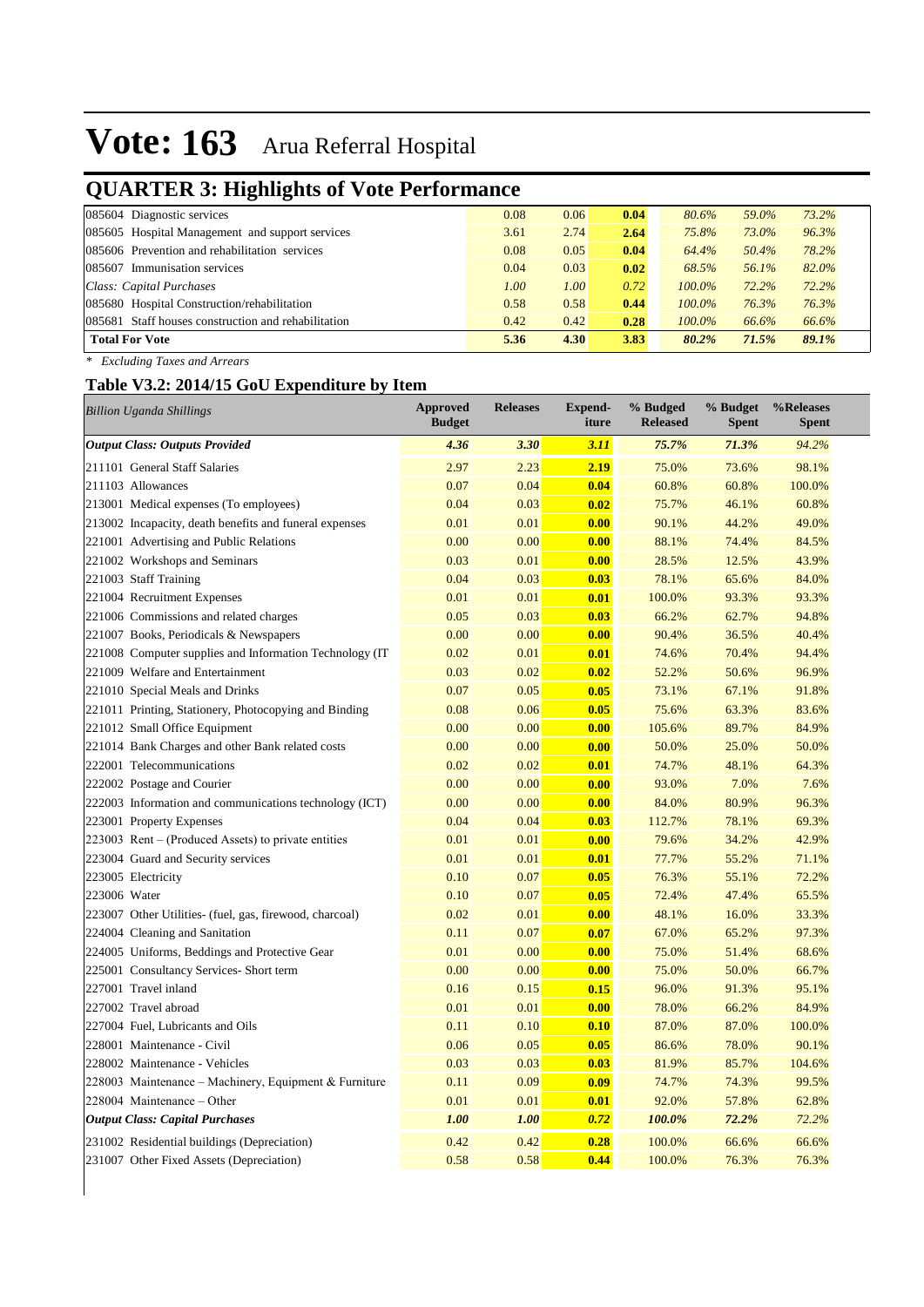## **QUARTER 3: Highlights of Vote Performance**

| . .<br>.                                            |      |      |      |           |       |       |
|-----------------------------------------------------|------|------|------|-----------|-------|-------|
| 085604 Diagnostic services                          | 0.08 | 0.06 | 0.04 | 80.6%     | 59.0% | 73.2% |
| 085605 Hospital Management and support services     | 3.61 | 2.74 | 2.64 | 75.8%     | 73.0% | 96.3% |
| 085606 Prevention and rehabilitation services       | 0.08 | 0.05 | 0.04 | 64.4%     | 50.4% | 78.2% |
| 085607 Immunisation services                        | 0.04 | 0.03 | 0.02 | 68.5%     | 56.1% | 82.0% |
| Class: Capital Purchases                            | 1.00 | 1.00 | 0.72 | $100.0\%$ | 72.2% | 72.2% |
| 085680 Hospital Construction/rehabilitation         | 0.58 | 0.58 | 0.44 | $100.0\%$ | 76.3% | 76.3% |
| 085681 Staff houses construction and rehabilitation | 0.42 | 0.42 | 0.28 | 100.0%    | 66.6% | 66.6% |
| <b>Total For Vote</b>                               | 5.36 | 4.30 | 3.83 | 80.2%     | 71.5% | 89.1% |
|                                                     |      |      |      |           |       |       |

*\* Excluding Taxes and Arrears*

### **Table V3.2: 2014/15 GoU Expenditure by Item**

| <b>Billion Uganda Shillings</b>                         | <b>Approved</b><br><b>Budget</b> | <b>Releases</b> | <b>Expend-</b><br>iture | % Budged<br><b>Released</b> | % Budget<br><b>Spent</b> | %Releases<br><b>Spent</b> |
|---------------------------------------------------------|----------------------------------|-----------------|-------------------------|-----------------------------|--------------------------|---------------------------|
| <b>Output Class: Outputs Provided</b>                   | 4.36                             | 3.30            | 3.11                    | 75.7%                       | 71.3%                    | 94.2%                     |
| 211101 General Staff Salaries                           | 2.97                             | 2.23            | 2.19                    | 75.0%                       | 73.6%                    | 98.1%                     |
| 211103 Allowances                                       | 0.07                             | 0.04            | 0.04                    | 60.8%                       | 60.8%                    | 100.0%                    |
| 213001 Medical expenses (To employees)                  | 0.04                             | 0.03            | 0.02                    | 75.7%                       | 46.1%                    | 60.8%                     |
| 213002 Incapacity, death benefits and funeral expenses  | 0.01                             | 0.01            | 0.00                    | 90.1%                       | 44.2%                    | 49.0%                     |
| 221001 Advertising and Public Relations                 | 0.00                             | 0.00            | 0.00                    | 88.1%                       | 74.4%                    | 84.5%                     |
| 221002 Workshops and Seminars                           | 0.03                             | 0.01            | 0.00                    | 28.5%                       | 12.5%                    | 43.9%                     |
| 221003 Staff Training                                   | 0.04                             | 0.03            | 0.03                    | 78.1%                       | 65.6%                    | 84.0%                     |
| 221004 Recruitment Expenses                             | 0.01                             | 0.01            | 0.01                    | 100.0%                      | 93.3%                    | 93.3%                     |
| 221006 Commissions and related charges                  | 0.05                             | 0.03            | 0.03                    | 66.2%                       | 62.7%                    | 94.8%                     |
| 221007 Books, Periodicals & Newspapers                  | 0.00                             | 0.00            | 0.00                    | 90.4%                       | 36.5%                    | 40.4%                     |
| 221008 Computer supplies and Information Technology (IT | 0.02                             | 0.01            | 0.01                    | 74.6%                       | 70.4%                    | 94.4%                     |
| 221009 Welfare and Entertainment                        | 0.03                             | 0.02            | 0.02                    | 52.2%                       | 50.6%                    | 96.9%                     |
| 221010 Special Meals and Drinks                         | 0.07                             | 0.05            | 0.05                    | 73.1%                       | 67.1%                    | 91.8%                     |
| 221011 Printing, Stationery, Photocopying and Binding   | 0.08                             | 0.06            | 0.05                    | 75.6%                       | 63.3%                    | 83.6%                     |
| 221012 Small Office Equipment                           | 0.00                             | 0.00            | 0.00                    | 105.6%                      | 89.7%                    | 84.9%                     |
| 221014 Bank Charges and other Bank related costs        | 0.00                             | 0.00            | 0.00                    | 50.0%                       | 25.0%                    | 50.0%                     |
| 222001 Telecommunications                               | 0.02                             | 0.02            | 0.01                    | 74.7%                       | 48.1%                    | 64.3%                     |
| 222002 Postage and Courier                              | 0.00                             | 0.00            | 0.00                    | 93.0%                       | 7.0%                     | 7.6%                      |
| 222003 Information and communications technology (ICT)  | 0.00                             | 0.00            | 0.00                    | 84.0%                       | 80.9%                    | 96.3%                     |
| 223001 Property Expenses                                | 0.04                             | 0.04            | 0.03                    | 112.7%                      | 78.1%                    | 69.3%                     |
| 223003 Rent – (Produced Assets) to private entities     | 0.01                             | 0.01            | 0.00                    | 79.6%                       | 34.2%                    | 42.9%                     |
| 223004 Guard and Security services                      | 0.01                             | 0.01            | 0.01                    | 77.7%                       | 55.2%                    | 71.1%                     |
| 223005 Electricity                                      | 0.10                             | 0.07            | 0.05                    | 76.3%                       | 55.1%                    | 72.2%                     |
| 223006 Water                                            | 0.10                             | 0.07            | 0.05                    | 72.4%                       | 47.4%                    | 65.5%                     |
| 223007 Other Utilities- (fuel, gas, firewood, charcoal) | 0.02                             | 0.01            | 0.00                    | 48.1%                       | 16.0%                    | 33.3%                     |
| 224004 Cleaning and Sanitation                          | 0.11                             | 0.07            | 0.07                    | 67.0%                       | 65.2%                    | 97.3%                     |
| 224005 Uniforms, Beddings and Protective Gear           | 0.01                             | 0.00            | 0.00                    | 75.0%                       | 51.4%                    | 68.6%                     |
| 225001 Consultancy Services- Short term                 | 0.00                             | 0.00            | 0.00                    | 75.0%                       | 50.0%                    | 66.7%                     |
| 227001 Travel inland                                    | 0.16                             | 0.15            | 0.15                    | 96.0%                       | 91.3%                    | 95.1%                     |
| 227002 Travel abroad                                    | 0.01                             | 0.01            | 0.00                    | 78.0%                       | 66.2%                    | 84.9%                     |
| 227004 Fuel, Lubricants and Oils                        | 0.11                             | 0.10            | 0.10                    | 87.0%                       | 87.0%                    | 100.0%                    |
| 228001 Maintenance - Civil                              | 0.06                             | 0.05            | 0.05                    | 86.6%                       | 78.0%                    | 90.1%                     |
| 228002 Maintenance - Vehicles                           | 0.03                             | 0.03            | 0.03                    | 81.9%                       | 85.7%                    | 104.6%                    |
| 228003 Maintenance – Machinery, Equipment & Furniture   | 0.11                             | 0.09            | 0.09                    | 74.7%                       | 74.3%                    | 99.5%                     |
| 228004 Maintenance – Other                              | 0.01                             | 0.01            | 0.01                    | 92.0%                       | 57.8%                    | 62.8%                     |
| <b>Output Class: Capital Purchases</b>                  | 1.00                             | 1.00            | 0.72                    | 100.0%                      | 72.2%                    | 72.2%                     |
| 231002 Residential buildings (Depreciation)             | 0.42                             | 0.42            | 0.28                    | 100.0%                      | 66.6%                    | 66.6%                     |
| 231007 Other Fixed Assets (Depreciation)                | 0.58                             | 0.58            | 0.44                    | 100.0%                      | 76.3%                    | 76.3%                     |